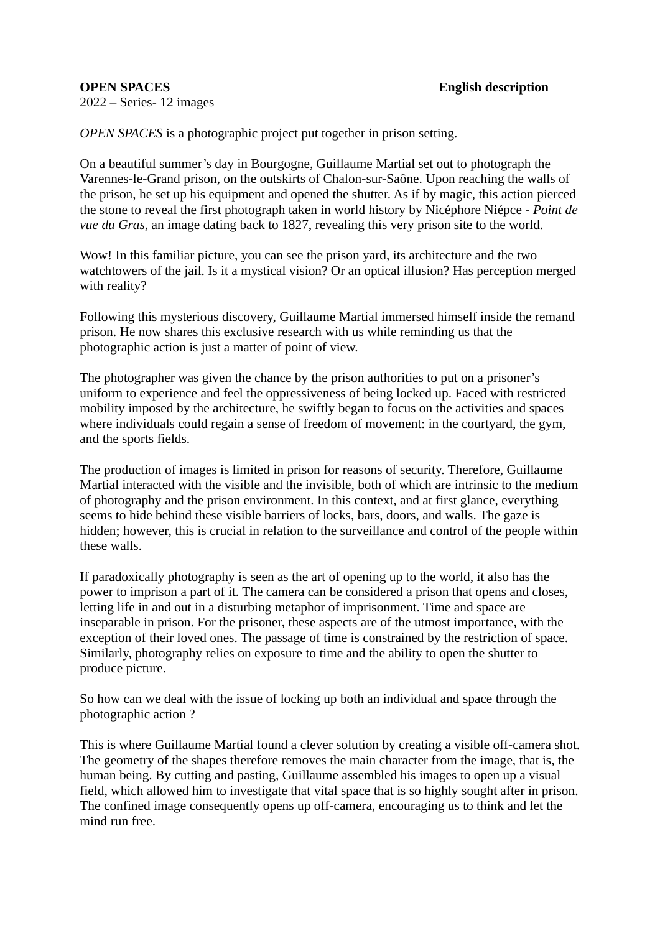2022 – Series- 12 images

*OPEN SPACES* is a photographic project put together in prison setting.

On a beautiful summer's day in Bourgogne, Guillaume Martial set out to photograph the Varennes-le-Grand prison, on the outskirts of Chalon-sur-Saône. Upon reaching the walls of the prison, he set up his equipment and opened the shutter. As if by magic, this action pierced the stone to reveal the first photograph taken in world history by Nicéphore Niépce - *Point de vue du Gras,* an image dating back to 1827, revealing this very prison site to the world.

Wow! In this familiar picture, you can see the prison yard, its architecture and the two watchtowers of the jail. Is it a mystical vision? Or an optical illusion? Has perception merged with reality?

Following this mysterious discovery, Guillaume Martial immersed himself inside the remand prison. He now shares this exclusive research with us while reminding us that the photographic action is just a matter of point of view.

The photographer was given the chance by the prison authorities to put on a prisoner's uniform to experience and feel the oppressiveness of being locked up. Faced with restricted mobility imposed by the architecture, he swiftly began to focus on the activities and spaces where individuals could regain a sense of freedom of movement: in the courtyard, the gym, and the sports fields.

The production of images is limited in prison for reasons of security. Therefore, Guillaume Martial interacted with the visible and the invisible, both of which are intrinsic to the medium of photography and the prison environment. In this context, and at first glance, everything seems to hide behind these visible barriers of locks, bars, doors, and walls. The gaze is hidden; however, this is crucial in relation to the surveillance and control of the people within these walls.

If paradoxically photography is seen as the art of opening up to the world, it also has the power to imprison a part of it. The camera can be considered a prison that opens and closes, letting life in and out in a disturbing metaphor of imprisonment. Time and space are inseparable in prison. For the prisoner, these aspects are of the utmost importance, with the exception of their loved ones. The passage of time is constrained by the restriction of space. Similarly, photography relies on exposure to time and the ability to open the shutter to produce picture.

So how can we deal with the issue of locking up both an individual and space through the photographic action ?

This is where Guillaume Martial found a clever solution by creating a visible off-camera shot. The geometry of the shapes therefore removes the main character from the image, that is, the human being. By cutting and pasting, Guillaume assembled his images to open up a visual field, which allowed him to investigate that vital space that is so highly sought after in prison. The confined image consequently opens up off-camera, encouraging us to think and let the mind run free.